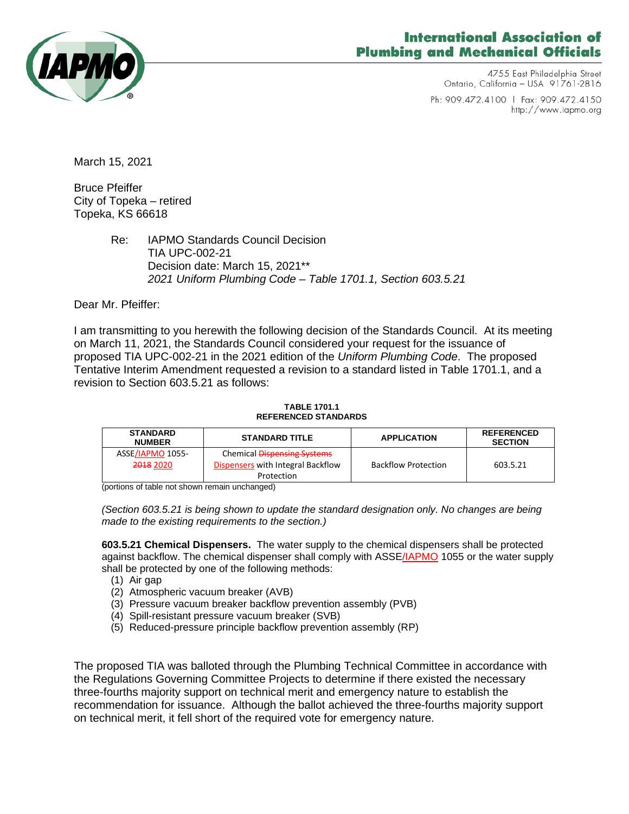

# International Association of **Plumbing and Mechanical Officials**

4755 East Philadelphia Street Ontario, California - USA 91761-2816

Ph: 909.472.4100 | Fax: 909.472.4150 http://www.iapmo.org

March 15, 2021

Bruce Pfeiffer City of Topeka – retired Topeka, KS 66618

> Re: IAPMO Standards Council Decision TIA UPC-002-21 Decision date: March 15, 2021\*\* *2021 Uniform Plumbing Code – Table 1701.1, Section 603.5.21*

Dear Mr. Pfeiffer:

I am transmitting to you herewith the following decision of the Standards Council. At its meeting on March 11, 2021, the Standards Council considered your request for the issuance of proposed TIA UPC-002-21 in the 2021 edition of the *Uniform Plumbing Code*. The proposed Tentative Interim Amendment requested a revision to a standard listed in Table 1701.1, and a revision to Section 603.5.21 as follows:

#### **TABLE 1701.1 REFERENCED STANDARDS**

| <b>STANDARD</b><br><b>NUMBER</b> | <b>STANDARD TITLE</b>             | <b>APPLICATION</b>         | <b>REFERENCED</b><br><b>SECTION</b> |
|----------------------------------|-----------------------------------|----------------------------|-------------------------------------|
| ASSE/IAPMO 1055-                 | Chemical Dispensing Systems       |                            |                                     |
| <del>2018</del> 2020             | Dispensers with Integral Backflow | <b>Backflow Protection</b> | 603.5.21                            |
|                                  | Protection                        |                            |                                     |

(portions of table not shown remain unchanged)

*(Section 603.5.21 is being shown to update the standard designation only. No changes are being made to the existing requirements to the section.)*

**603.5.21 Chemical Dispensers.** The water supply to the chemical dispensers shall be protected against backflow. The chemical dispenser shall comply with ASSE/IAPMO 1055 or the water supply shall be protected by one of the following methods:

- (1) Air gap
- (2) Atmospheric vacuum breaker (AVB)
- (3) Pressure vacuum breaker backflow prevention assembly (PVB)
- (4) Spill-resistant pressure vacuum breaker (SVB)
- (5) Reduced-pressure principle backflow prevention assembly (RP)

The proposed TIA was balloted through the Plumbing Technical Committee in accordance with the Regulations Governing Committee Projects to determine if there existed the necessary three-fourths majority support on technical merit and emergency nature to establish the recommendation for issuance. Although the ballot achieved the three-fourths majority support on technical merit, it fell short of the required vote for emergency nature.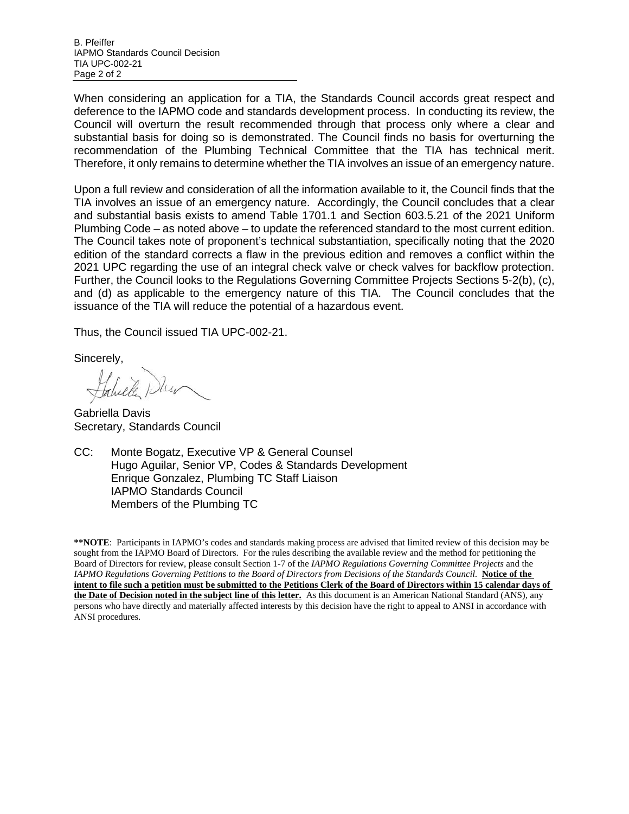B. Pfeiffer IAPMO Standards Council Decision TIA UPC-002-21 Page 2 of 2

When considering an application for a TIA, the Standards Council accords great respect and deference to the IAPMO code and standards development process. In conducting its review, the Council will overturn the result recommended through that process only where a clear and substantial basis for doing so is demonstrated. The Council finds no basis for overturning the recommendation of the Plumbing Technical Committee that the TIA has technical merit. Therefore, it only remains to determine whether the TIA involves an issue of an emergency nature.

Upon a full review and consideration of all the information available to it, the Council finds that the TIA involves an issue of an emergency nature. Accordingly, the Council concludes that a clear and substantial basis exists to amend Table 1701.1 and Section 603.5.21 of the 2021 Uniform Plumbing Code – as noted above – to update the referenced standard to the most current edition. The Council takes note of proponent's technical substantiation, specifically noting that the 2020 edition of the standard corrects a flaw in the previous edition and removes a conflict within the 2021 UPC regarding the use of an integral check valve or check valves for backflow protection. Further, the Council looks to the Regulations Governing Committee Projects Sections 5-2(b), (c), and (d) as applicable to the emergency nature of this TIA. The Council concludes that the issuance of the TIA will reduce the potential of a hazardous event.

Thus, the Council issued TIA UPC-002-21.

Sincerely,

Gabriella Davis Secretary, Standards Council

CC: Monte Bogatz, Executive VP & General Counsel Hugo Aguilar, Senior VP, Codes & Standards Development Enrique Gonzalez, Plumbing TC Staff Liaison IAPMO Standards Council Members of the Plumbing TC

**\*\*NOTE**: Participants in IAPMO's codes and standards making process are advised that limited review of this decision may be sought from the IAPMO Board of Directors. For the rules describing the available review and the method for petitioning the Board of Directors for review, please consult Section 1-7 of the *IAPMO Regulations Governing Committee Projects* and the *IAPMO Regulations Governing Petitions to the Board of Directors from Decisions of the Standards Council*. **Notice of the intent to file such a petition must be submitted to the Petitions Clerk of the Board of Directors within 15 calendar days of the Date of Decision noted in the subject line of this letter.** As this document is an American National Standard (ANS), any persons who have directly and materially affected interests by this decision have the right to appeal to ANSI in accordance with ANSI procedures.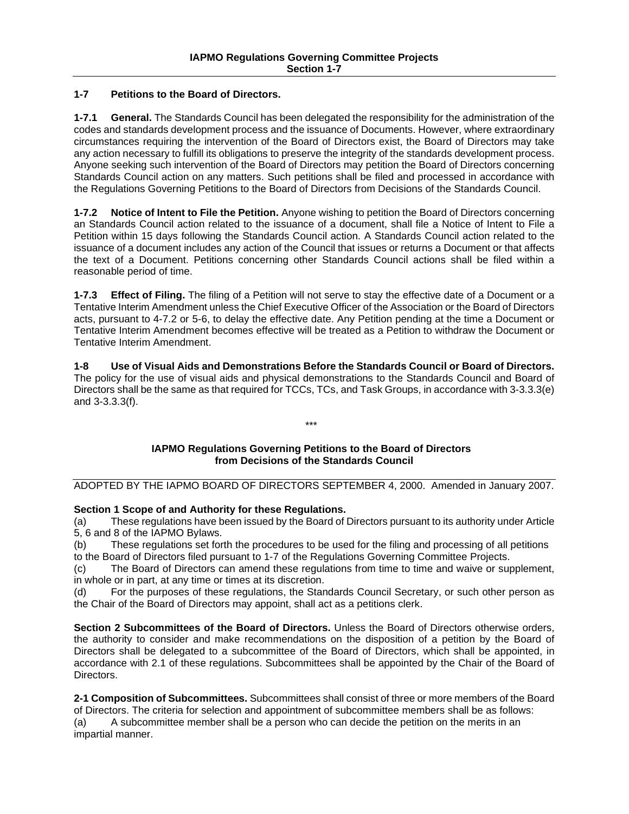### **1-7 Petitions to the Board of Directors.**

**1-7.1 General.** The Standards Council has been delegated the responsibility for the administration of the codes and standards development process and the issuance of Documents. However, where extraordinary circumstances requiring the intervention of the Board of Directors exist, the Board of Directors may take any action necessary to fulfill its obligations to preserve the integrity of the standards development process. Anyone seeking such intervention of the Board of Directors may petition the Board of Directors concerning Standards Council action on any matters. Such petitions shall be filed and processed in accordance with the Regulations Governing Petitions to the Board of Directors from Decisions of the Standards Council.

**1-7.2 Notice of Intent to File the Petition.** Anyone wishing to petition the Board of Directors concerning an Standards Council action related to the issuance of a document, shall file a Notice of Intent to File a Petition within 15 days following the Standards Council action. A Standards Council action related to the issuance of a document includes any action of the Council that issues or returns a Document or that affects the text of a Document. Petitions concerning other Standards Council actions shall be filed within a reasonable period of time.

**1-7.3 Effect of Filing.** The filing of a Petition will not serve to stay the effective date of a Document or a Tentative Interim Amendment unless the Chief Executive Officer of the Association or the Board of Directors acts, pursuant to 4-7.2 or 5-6, to delay the effective date. Any Petition pending at the time a Document or Tentative Interim Amendment becomes effective will be treated as a Petition to withdraw the Document or Tentative Interim Amendment.

**1-8 Use of Visual Aids and Demonstrations Before the Standards Council or Board of Directors.**  The policy for the use of visual aids and physical demonstrations to the Standards Council and Board of Directors shall be the same as that required for TCCs, TCs, and Task Groups, in accordance with 3-3.3.3(e) and 3-3.3.3(f).

#### **IAPMO Regulations Governing Petitions to the Board of Directors from Decisions of the Standards Council**

\*\*\*

## ADOPTED BY THE IAPMO BOARD OF DIRECTORS SEPTEMBER 4, 2000. Amended in January 2007.

**Section 1 Scope of and Authority for these Regulations.**

(a) These regulations have been issued by the Board of Directors pursuant to its authority under Article 5, 6 and 8 of the IAPMO Bylaws.

(b) These regulations set forth the procedures to be used for the filing and processing of all petitions to the Board of Directors filed pursuant to 1-7 of the Regulations Governing Committee Projects.

(c) The Board of Directors can amend these regulations from time to time and waive or supplement, in whole or in part, at any time or times at its discretion.

(d) For the purposes of these regulations, the Standards Council Secretary, or such other person as the Chair of the Board of Directors may appoint, shall act as a petitions clerk.

**Section 2 Subcommittees of the Board of Directors.** Unless the Board of Directors otherwise orders, the authority to consider and make recommendations on the disposition of a petition by the Board of Directors shall be delegated to a subcommittee of the Board of Directors, which shall be appointed, in accordance with 2.1 of these regulations. Subcommittees shall be appointed by the Chair of the Board of Directors.

**2-1 Composition of Subcommittees.** Subcommittees shall consist of three or more members of the Board of Directors. The criteria for selection and appointment of subcommittee members shall be as follows: (a) A subcommittee member shall be a person who can decide the petition on the merits in an impartial manner.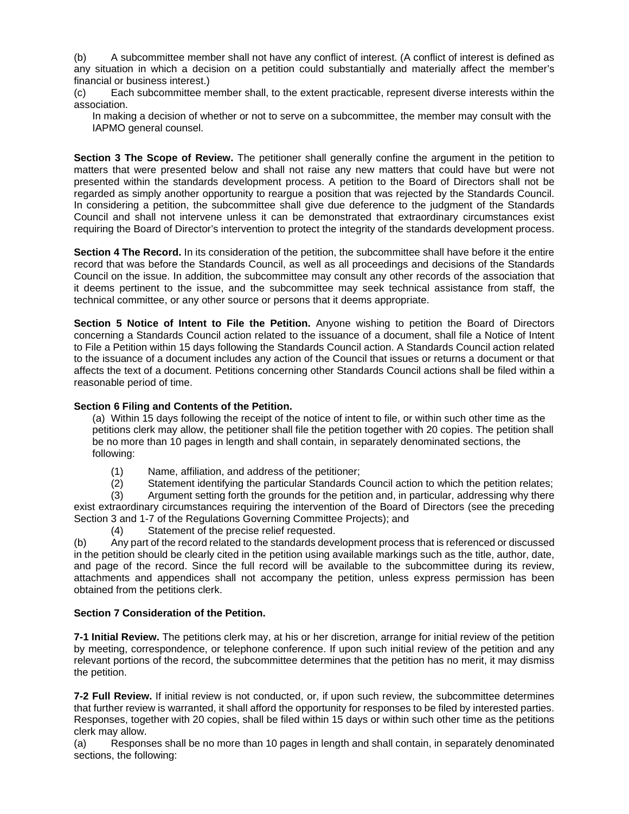(b) A subcommittee member shall not have any conflict of interest. (A conflict of interest is defined as any situation in which a decision on a petition could substantially and materially affect the member's financial or business interest.)

(c) Each subcommittee member shall, to the extent practicable, represent diverse interests within the association.

In making a decision of whether or not to serve on a subcommittee, the member may consult with the IAPMO general counsel.

**Section 3 The Scope of Review.** The petitioner shall generally confine the argument in the petition to matters that were presented below and shall not raise any new matters that could have but were not presented within the standards development process. A petition to the Board of Directors shall not be regarded as simply another opportunity to reargue a position that was rejected by the Standards Council. In considering a petition, the subcommittee shall give due deference to the judgment of the Standards Council and shall not intervene unless it can be demonstrated that extraordinary circumstances exist requiring the Board of Director's intervention to protect the integrity of the standards development process.

**Section 4 The Record.** In its consideration of the petition, the subcommittee shall have before it the entire record that was before the Standards Council, as well as all proceedings and decisions of the Standards Council on the issue. In addition, the subcommittee may consult any other records of the association that it deems pertinent to the issue, and the subcommittee may seek technical assistance from staff, the technical committee, or any other source or persons that it deems appropriate.

**Section 5 Notice of Intent to File the Petition.** Anyone wishing to petition the Board of Directors concerning a Standards Council action related to the issuance of a document, shall file a Notice of Intent to File a Petition within 15 days following the Standards Council action. A Standards Council action related to the issuance of a document includes any action of the Council that issues or returns a document or that affects the text of a document. Petitions concerning other Standards Council actions shall be filed within a reasonable period of time.

### **Section 6 Filing and Contents of the Petition.**

(a) Within 15 days following the receipt of the notice of intent to file, or within such other time as the petitions clerk may allow, the petitioner shall file the petition together with 20 copies. The petition shall be no more than 10 pages in length and shall contain, in separately denominated sections, the following:

- (1) Name, affiliation, and address of the petitioner;
- (2) Statement identifying the particular Standards Council action to which the petition relates;

(3) Argument setting forth the grounds for the petition and, in particular, addressing why there exist extraordinary circumstances requiring the intervention of the Board of Directors (see the preceding Section 3 and 1-7 of the Regulations Governing Committee Projects); and

(4) Statement of the precise relief requested.

(b) Any part of the record related to the standards development process that is referenced or discussed in the petition should be clearly cited in the petition using available markings such as the title, author, date, and page of the record. Since the full record will be available to the subcommittee during its review, attachments and appendices shall not accompany the petition, unless express permission has been obtained from the petitions clerk.

#### **Section 7 Consideration of the Petition.**

**7-1 Initial Review.** The petitions clerk may, at his or her discretion, arrange for initial review of the petition by meeting, correspondence, or telephone conference. If upon such initial review of the petition and any relevant portions of the record, the subcommittee determines that the petition has no merit, it may dismiss the petition.

**7-2 Full Review.** If initial review is not conducted, or, if upon such review, the subcommittee determines that further review is warranted, it shall afford the opportunity for responses to be filed by interested parties. Responses, together with 20 copies, shall be filed within 15 days or within such other time as the petitions clerk may allow.

(a) Responses shall be no more than 10 pages in length and shall contain, in separately denominated sections, the following: